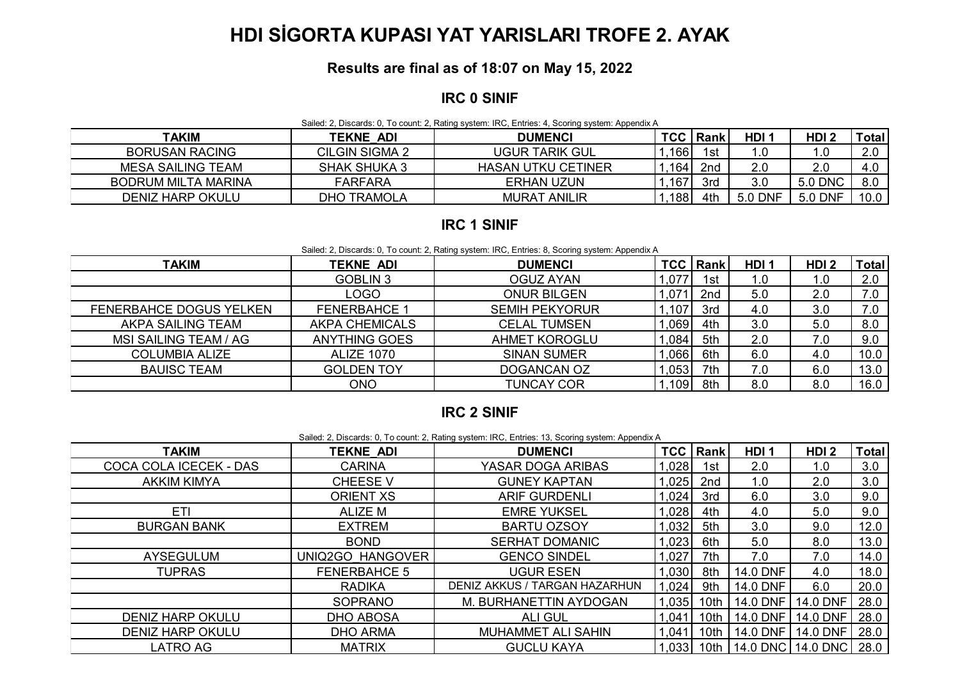# **HDI SİGORTA KUPASI YAT YARISLARI TROFE 2. AYAK**

### **Results are final as of 18:07 on May 15, 2022**

#### **IRC 0 SINIF**

Sailed: 2, Discards: 0, To count: 2, Rating system: IRC, Entries: 4, Scoring system: Appendix A

| TAKIM                      | <b>TEKNE ADI</b>      | <b>DUMENCI</b>            | <b>TCC</b> | l Rank          | HDI 1   | HDI <sub>2</sub> | Total                |
|----------------------------|-----------------------|---------------------------|------------|-----------------|---------|------------------|----------------------|
| <b>BORUSAN RACING</b>      | <b>CILGIN SIGMA 2</b> | <b>UGUR TARIK GUL</b>     | 166        | 1st             | 1.C     | . .0             | $\cap$<br><u>L.v</u> |
| MESA SAILING TEAM          | <b>SHAK SHUKA 3</b>   | <b>HASAN UTKU CETINER</b> | 164        | 2 <sub>nd</sub> | 2.0     | 2.0              | 21. I<br>−.∪         |
| <b>BODRUM MILTA MARINA</b> | <b>FARFARA</b>        | <b>ERHAN UZUN</b>         | 167        | 3rd             | 3.0     | 5.0 DNC          | 8.0                  |
| <b>DENIZ HARP OKULU</b>    | TRAMOLA<br>OHC        | <b>MURAT ANILIR</b>       | 188        | 4th             | 5.0 DNF | 5.0 DNF          | 10.0                 |

#### **IRC 1 SINIF**

Sailed: 2, Discards: 0, To count: 2, Rating system: IRC, Entries: 8, Scoring system: Appendix A

| <b>TAKIM</b>            | <b>TEKNE ADI</b>      | <b>DUMENCI</b>        |      | <b>TCC Rank</b> | HDI <sub>1</sub> | HDI <sub>2</sub> | <b>Total</b> |
|-------------------------|-----------------------|-----------------------|------|-----------------|------------------|------------------|--------------|
|                         | <b>GOBLIN 3</b>       | <b>OGUZ AYAN</b>      | ,077 | 1st             | 1.0              | 1.0              | 2.0          |
|                         | LOGO                  | <b>ONUR BILGEN</b>    | .071 | 2nd             | 5.0              | 2.0              | 7.0          |
| FENERBAHCE DOGUS YELKEN | <b>FENERBAHCE 1</b>   | <b>SEMIH PEKYORUR</b> | ,107 | 3rd             | 4.0              | 3.0              | 7.0          |
| AKPA SAILING TEAM       | <b>AKPA CHEMICALS</b> | <b>CELAL TUMSEN</b>   | ,069 | 4th             | 3.0              | 5.0              | 8.0          |
| MSI SAILING TEAM / AG   | <b>ANYTHING GOES</b>  | <b>AHMET KOROGLU</b>  | ,084 | 5th             | 2.0              | 7.0              | 9.0          |
| <b>COLUMBIA ALIZE</b>   | <b>ALIZE 1070</b>     | <b>SINAN SUMER</b>    | ,066 | 6th             | 6.0              | 4.0              | 10.0         |
| <b>BAUISC TEAM</b>      | <b>GOLDEN TOY</b>     | <b>DOGANCAN OZ</b>    | ,053 | 7th             |                  | 6.0              | 13.0         |
|                         | ONO                   | <b>TUNCAY COR</b>     | ,109 | 8th             | 8.0              | 8.0              | 16.0         |

## **IRC 2 SINIF**

| Sailed: 2, Discards: 0, To count: 2, Rating system: IRC, Entries: 13, Scoring system: Appendix A |                  |                      |        |                 |                  |                  |              |  |
|--------------------------------------------------------------------------------------------------|------------------|----------------------|--------|-----------------|------------------|------------------|--------------|--|
| <b>TAKIM</b>                                                                                     | <b>TEKNE ADI</b> | <b>DUMENCI</b>       |        | <b>TCC Rank</b> | HDI <sub>1</sub> | HDI <sub>2</sub> | <b>Total</b> |  |
| COCA COLA ICECEK - DAS                                                                           | CARINA           | YASAR DOGA ARIBAS    | ,028   | 1st             | 2.0              | ں.               | 3.0          |  |
| <b>AKKIM KIMYA</b>                                                                               | <b>CHEESE V</b>  | <b>GUNEY KAPTAN</b>  | .025   | 2 <sub>nd</sub> | 1.0              | 2.0              | 3.0          |  |
|                                                                                                  | ORIENT XS        | <b>ARIF GURDENLI</b> | ,024   | 3rd             | 6.0              | 3.0              | 9.0          |  |
| ETI                                                                                              | ALIZE M          | <b>EMRE YUKSEL</b>   | ,028   | 4th             | 4.0              | 5.0              | 9.0          |  |
|                                                                                                  | $-1/1$           | <b>BABTLATAALL</b>   | المممد | $-11$           | $\sim$ $\sim$    | $\sim$ $\sim$    | $\sim$       |  |

| ETI                     | ALIZE M             | <b>EMRE YUKSEL</b>            | ,028   | 4th      | 4.0      | 5.0                               | 9.0  |
|-------------------------|---------------------|-------------------------------|--------|----------|----------|-----------------------------------|------|
| <b>BURGAN BANK</b>      | <b>EXTREM</b>       | <b>BARTU OZSOY</b>            | ,032   | 5th      | 3.0      | 9.0                               | 12.0 |
|                         | <b>BOND</b>         | <b>SERHAT DOMANIC</b>         | ,023   | 6th      | 5.0      | 8.0                               | 13.0 |
| AYSEGULUM               | UNIQ2GO HANGOVER    | <b>GENCO SINDEL</b>           | ,027   | 7th      | 7.0      | 0.'                               | 14.0 |
| <b>TUPRAS</b>           | <b>FENERBAHCE 5</b> | UGUR ESEN                     | ,030   | 8th      | 14.0 DNF | 4.0                               | 18.0 |
|                         | <b>RADIKA</b>       | DENIZ AKKUS / TARGAN HAZARHUN | 1.024  | 9th      | 14.0 DNF | 6.0                               | 20.0 |
|                         | <b>SOPRANO</b>      | M. BURHANETTIN AYDOGAN        | .035   | $10th$ 1 | 14.0 DNF | 14.0 DNF                          | 28.0 |
| <b>DENIZ HARP OKULU</b> | <b>DHO ABOSA</b>    | <b>ALI GUL</b>                | 1,041  | 10th l   |          | 14.0 DNF   14.0 DNF   28.0        |      |
| <b>DENIZ HARP OKULU</b> | <b>DHO ARMA</b>     | <b>MUHAMMET ALI SAHIN</b>     | ا1.041 | 10th     |          | 14.0 DNF   14.0 DNF   28.0        |      |
| LATRO AG                | <b>MATRIX</b>       | <b>GUCLU KAYA</b>             |        |          |          | 1,033 10th 14.0 DNC 14.0 DNC 28.0 |      |